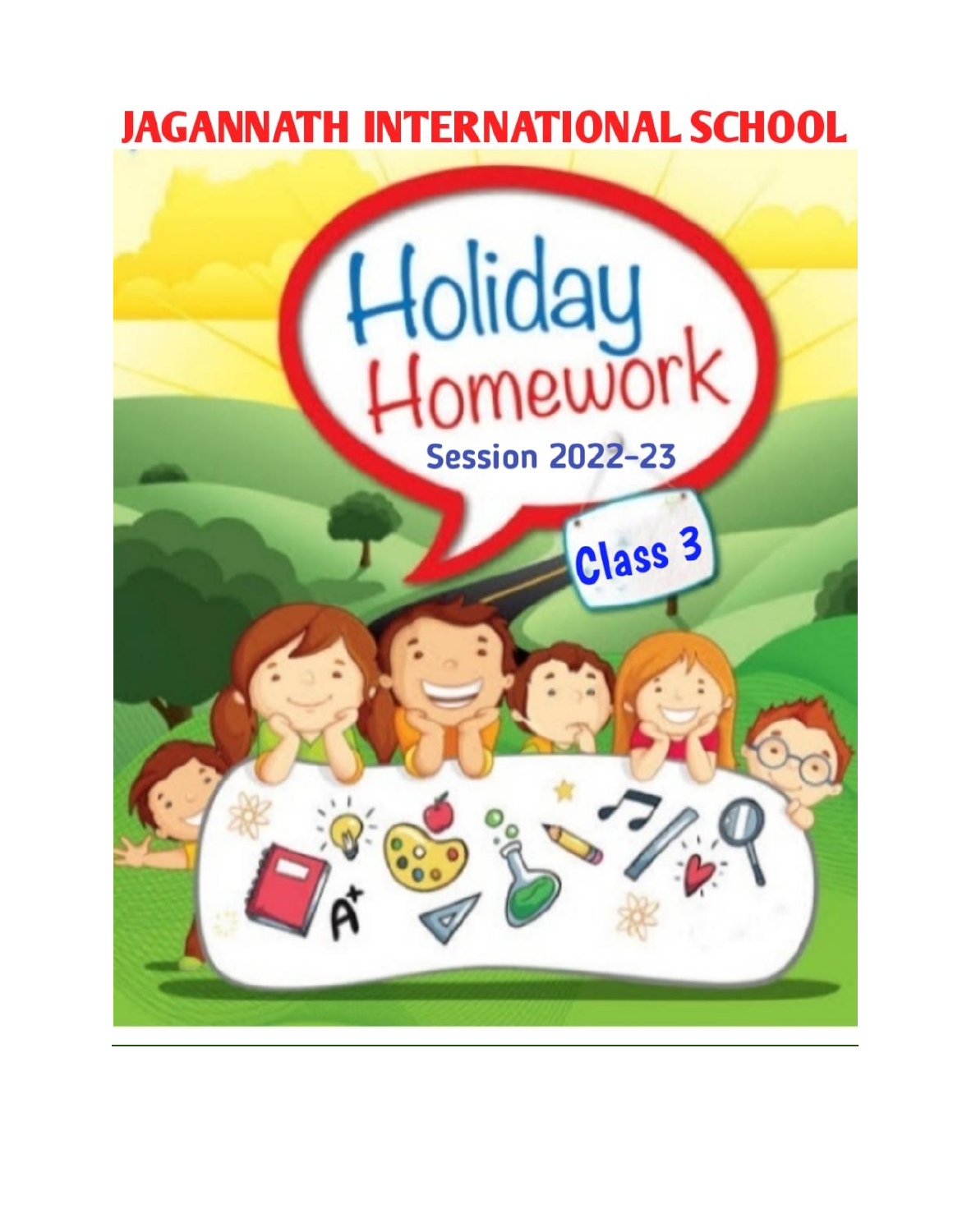

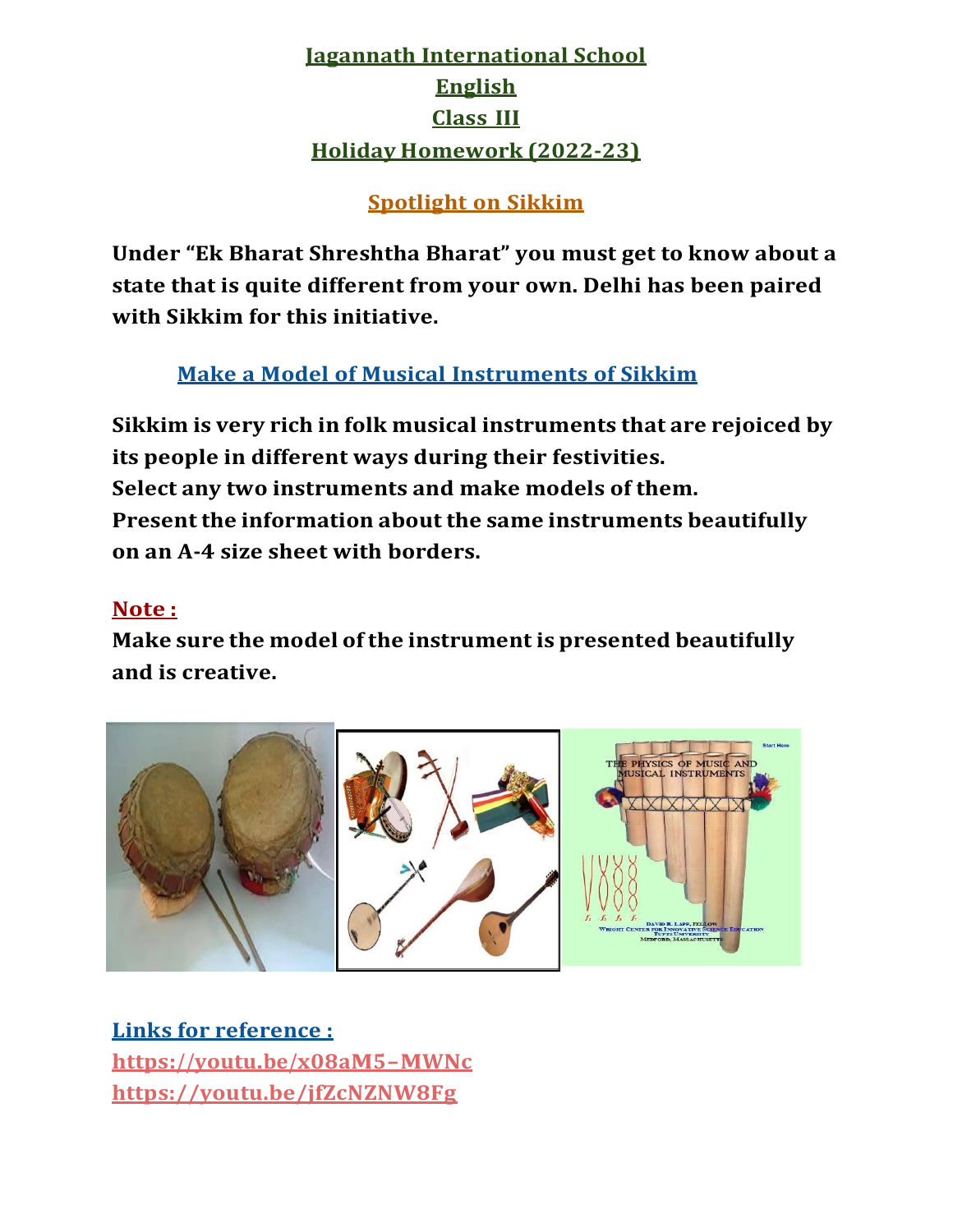# **Jagannath International School English Class III Holiday Homework (2022-23)**

### **Spotlight on Sikkim**

**Under "Ek Bharat Shreshtha Bharat" you must get to know about a state that is quite different from your own. Delhi has been paired with Sikkim for this initiative.**

## **Make a Model of Musical Instruments of Sikkim**

**Sikkim is very rich in folk musical instruments that are rejoiced by its people in different ways during their festivities. Select any two instruments and make models of them. Presentthe information about the same instruments beautifully on an A-4 size sheet with borders.**

### **Note :**

**Make sure the model of the instrument is presented beautifully and is creative.**



**Links for reference : <https://youtu.be/x08aM5-MWNc> https://youtu.be/jfZcNZNW8Fg**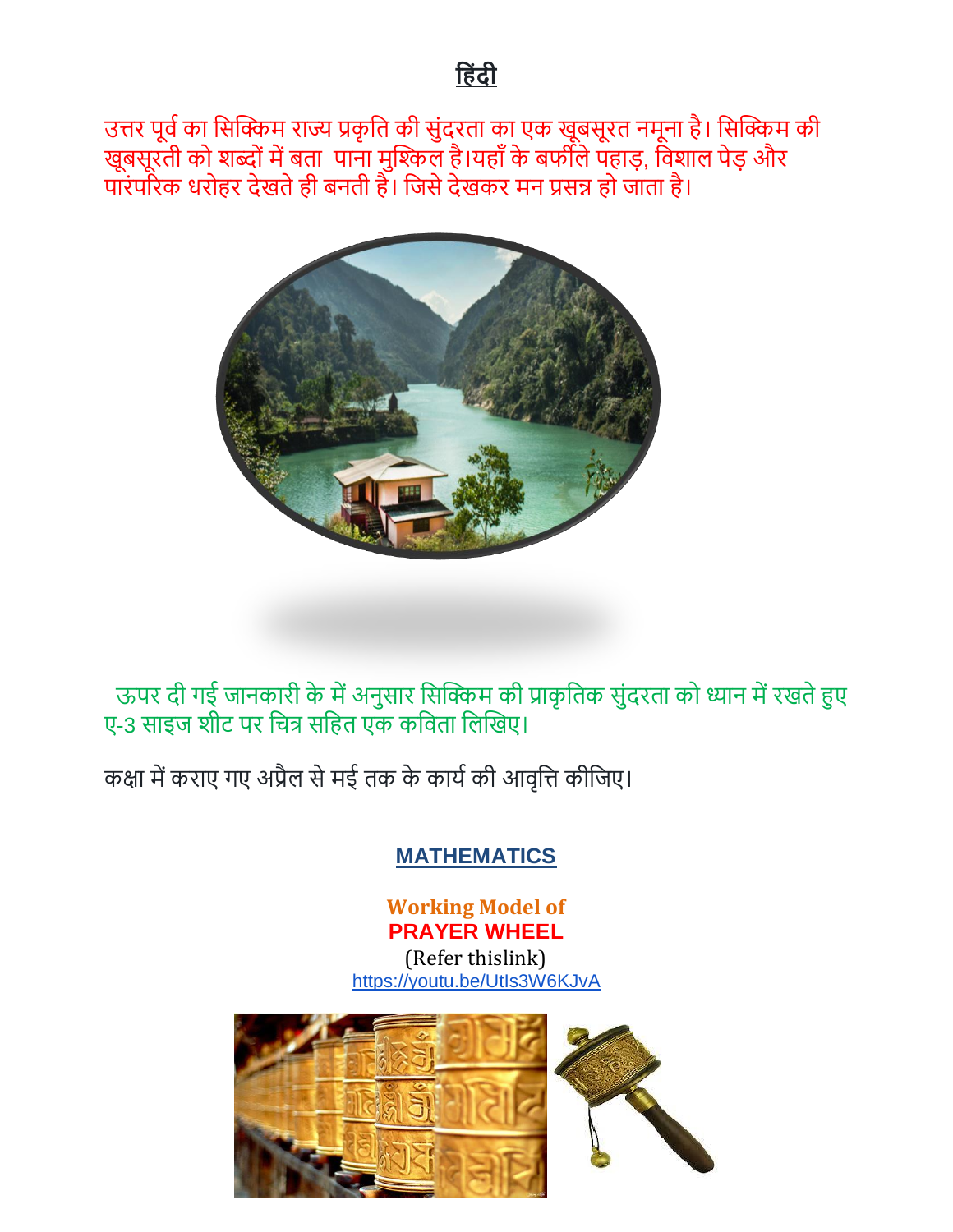उत्तर पूर्व का सिक्किम राज्य प्रकृति की सुंदरता का एक खूबसूरत नमूना है। सिक्किम की खूबसूरती को शब्दों में बता पाना मुश्किल है।यहाँ के बर्फीले पहाड़, विशाल पेड़ और पारंपरिक धरोहर देखते ही बनती हैं। जिसे देखकर मन प्रसन्न हो जाता है।



ऊपर दी गई जानकारी के में अनुसार सिक्किम की प्राकृतिक सुंदरता को ध्यान में रखते हुए ए-3 साइज शीट पर चित्र सहित एक कविता लिखिए।

कक्षा में कराए गए अप्रैल से मई तक के कार्य की आवृत्ति कीजिए।

## **MATHEMATICS**

**Working Model of PRAYER WHEEL**

(Refer thislink) <https://youtu.be/UtIs3W6KJvA>

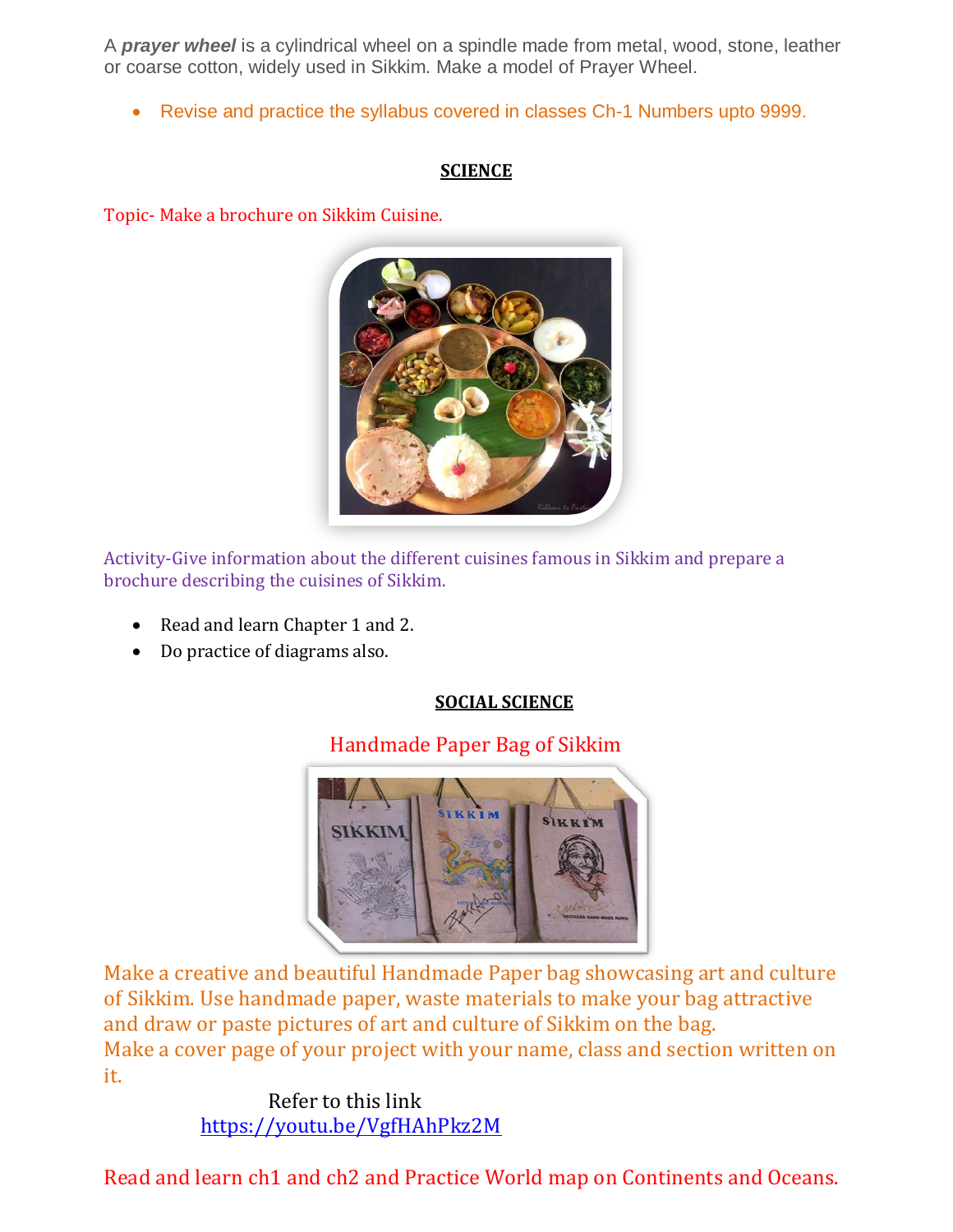A *prayer wheel* is a cylindrical wheel on a spindle made from metal, wood, stone, leather or coarse cotton, widely used in Sikkim. Make a model of Prayer Wheel.

Revise and practice the syllabus covered in classes Ch-1 Numbers upto 9999.

#### **SCIENCE**

Topic- Make a brochure on Sikkim Cuisine.



Activity-Give information about the different cuisines famous in Sikkim and prepare a brochure describing the cuisines of Sikkim.

- Read and learn Chapter 1 and 2.
- Do practice of diagrams also.

### **SOCIAL SCIENCE**

### Handmade Paper Bag of Sikkim



Make a creative and beautiful Handmade Paper bag showcasing art and culture of Sikkim. Use handmade paper, waste materials to make your bag attractive and draw or paste pictures of art and culture of Sikkim on the bag. Make a cover page of your project with your name, class and section written on it.

> Refer to this link <https://youtu.be/VgfHAhPkz2M>

Read and learn ch1 and ch2 and Practice World map on Continents and Oceans.